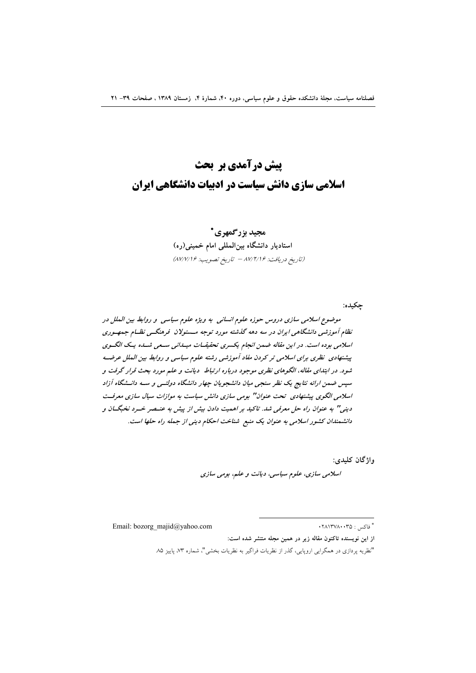# **ييش درآمدي بر يحث** اسلامی سازی دانش سیاست در ادبیات دانشگاهی ایران

### مجيد بزرگمهري\* استادیار دانشگاه بینالمللی امام خمینی(ره) (تاريخ دريافت: ٨٧/٢/١۶ - تاريخ تصويب: ٨٧/٧/١۶)

موضوع اسلامی سازی دروس حوزه علوم انسانی به ویژه علوم سیاسی و روابط بین الملل در نظام آموزشی دانشگاهی ایران در سه دهه گذشته مورد توجه مسئولان فرهنگسی نظام جمهوری اسلامی بوده است. در این مقاله ضمن انجام یکسری تحقیقیات میسانی سیعی شساه یک الگوی پیشنهادی نظری برای اسلامی تر کردن مفاد آموزشی رشته علوم سیاسی و روابط بین الملل عرضـه شود. در ابتدای مقاله، الگوهای نظری موجود درباره ارتباط ٍ دیانت و علم مورد بحث قرار گرفت و سپس ضمن ارائه نتایج یک نظر سنجی میان دانشجویان چهار دانشگاه دولتسی و سـه دانــشگاه آزاد اسلامی الگوی پشنهادی تحت عنوان" بومی سازی دانش سیاست به موازات سیال سازی معرفت دینی" به عنوان راه حل معرفی شد. تاکید بر اهمیت دادن بیش از پیش به عنسصر خسرد نخبگسان و دانشمندان کشور اسلامی به عنوان یک منبع شناخت احکام دینی از جمله راه حلها است.

> واژگان کليدي: اسلامي سازي، علوم سياسي، ديانت و علم، بومي سازي

Email: bozorg majid@yahoo.com

\* فاکس : ۲۸۱۳۷۸۰۰۳۵

جكيده:

از این نویسنده تاکنون مقاله زیر در همین مجله منتشر شده است:

<sup>&</sup>quot;نظریه پردازی در همگرایی اروپایی، گذر از نظریات فراگیر به نظریات بخشی"، شماره ۷۳، پاییز ۸۵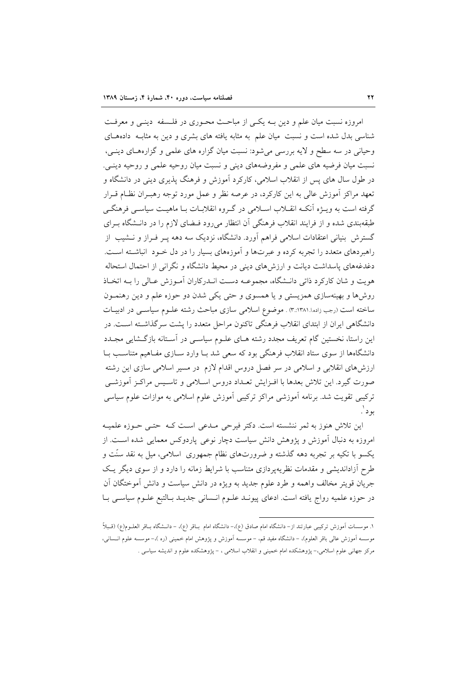امروزه نسبت میان علم و دین بـه یکـی از مباحـث محـوری در فلـسفه دینـی و معرفـت شناسی بدل شده است و نسبت ً میان علم به مثابه یافته های بشری و دین به مثاب ً دادههـای وحیانی در سه سطح و لایه بررسی میشود: نسبت میان گزاره های علمی و گزارههای دینبی، نسبت میان فرضیه های علمی و مفروضههای دینی و نسبت میان روحیه علمی و روحیه دینی. در طول سال های پس از انقلاب اسلامی، کارکرد آموزش و فرهنگ پذیری دینی در دانشگاه و تعهد مراکز آموزش عالی به این کارکرد، در عرصه نظر و عمل مورد توجه رهبـران نظـام قــرار گرفته است به ویـــژه اَنکــه انقـــلاب اســـلامی در گـــروه انقلابــات بــا ماهیــت سیاســـی فرهنگـــی طبقهبندی شده و از فرایند انقلاب فرهنگی آن انتظار می رود فـضای لازم را در دانــشگاه بــرای گسترش بنیانی اعتقادات اسلامی فراهم آورد. دانشگاه، نزدیک سه دهه پـر فـراز و نــشیب از راهبردهای متعدد را تجربه کرده و عبرتها و آموزههای بسیار را در دل خـود آنباشـته اسـت. دغدغههای پاسداشت دیانت و ارزش های دینی در محیط دانشگاه و نگرانی از احتمال استحاله هويت و شان كاركرد ذاتي دانـشگاه، مجموعــه دسـت انــدركاران آمـوزش عــالى را بــه اتخــاذ روشها و بهینهسازی همزیستی و یا همسوی و حتی یکی شدن دو حوزه علم و دین رهنمـون ساخته است (رجب زاده.ا.۱۳۸۱..۳) . موضوع اسلامی سازی مباحث رشته علـوم سیاسـی در ادبیـات دانشگاهی ایران از ابتدای انقلاب فرهنگی تاکنون مراحل متعدد را پشت سرگذاشته است. در این راستا، نخستین گام تعریف مجدد رشته هـای علـوم سیاسـی در اَسـتانه بازگـشایی مجـدد دانشگاهها از سوی ستاد انقلاب فرهنگی بود که سعی شد بـا وارد سـازی مفـاهیم متناسـب بـا ارزش۵مای انقلابی و اسلامی در سر فصل دروس اقدام لازم در مسیر اسلامی سازی این رشته صورت گیرد. این تلاش بعدها با افـزایش تعـداد دروس اسـلامی و تاسـیس مراکـز آموزشـی ترکیبی تقویت شد. برنامه اَموزشی مراکز ترکیبی اَموزش علوم اسلامی به موازات علوم سیاسی بود`.

این تلاش هنوز به ثمر ننشسته است. دکتر فیرحی مـدعی اسـت کـه حتـی حـوزه علمیـه امروزه به دنبال اَموزش و پژوهش دانش سیاست دچار نوعی پاردوکس معمایی شده اسـت. از یکسو با تکیه بر تجربه دهه گذشته و ضرورتهای نظام جمهوری اسلامی، میل به نقد سنّت و طرح آزاداندیشی و مقدمات نظریهپردازی متناسب با شرایط زمانه را دارد و از سوی دیگر یک جريان قويتر مخالف واهمه و طرد علوم جديد به ويژه در دانش سياست و دانش آموختگان آن در حوزه علميه رواج يافته است. ادعاى پيونـد علـوم انـساني جديـد بـالتبع علـوم سياسـي بـا

١. موسسات اَموزش تركيبي عبارتند از– دانشگاه امام صادق (ع).– دانشگاه امام بـاقر (ع)، – دانــشگاه بــاقر العلــوم(ع) (قــبارً موسسه اَموزش عالی باقر العلوم)، – دانشگاه مفید قم، – موسسه اَموزش و پژوهش امام خمینی (ره )،– موسسه علوم انــسانی، مرکز جهانی علوم اسلامی.- پژوهشکده امام خمینی و انقلاب اسلامی ، – پژوهشکده علوم و اندیشه سیاسی .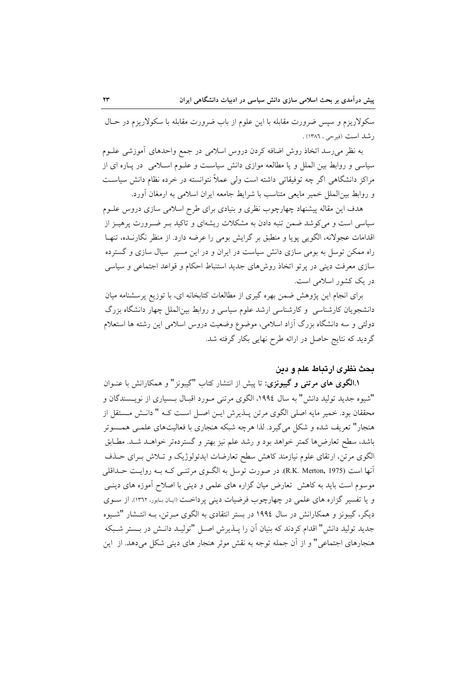سکولاریزم و سپس ضرورت مقابله با این علوم از باب ضرورت مقابله با سکولاریزم در حـال ر شد است (فیرجی ، ۱۳۸۶) .

به نظر میرسد اتخاذ روش اضافه کردن دروس اسلامی در جمع واحدهای آموزشی علـوم سیاسی و روابط بین الملل و یا مطالعه موازی دانش سیاست و علـوم اسـلامی ٍ در پـاره ای از مراکز دانشگاهی اگر چه توفیقاتی داشته است ولی عملاً نتوانسته در خرده نظام دانش سیاست و روابط بین|لملل خمیر مایعی متناسب با شرایط جامعه ایران اسلامی به ارمغان آورد.

هدف این مقاله پیشنهاد چهارچوب نظری و بنیادی برای طرح اسلامی سازی دروس علــوم سیاسی است و می کوشد ضمن تنبه دادن به مشکلات ریشهای و تاکید بـر ضـرورت پرهیـز از اقدامات عجولانه، الگویی پویا و منطبق بر گرایش بومی را عرضه دارد. از منظر نگارنـده، تنهـا راه ممکن توسل به بومی سازی دانش سیاست در ایران و در این مسیر ِ سیال سازی و گسترده سازی معرفت دینی در پر تو اتخاذ روشهای جدید استنباط احکام و قواعد اجتماعی و سیاسی در یک کشور اسلامی است.

برای انجام این پژوهش ضمن بهره گیری از مطالعات کتابخانه ای، با توزیع پرسشنامه میان دانشجویان کارشناسی و کارشناسی ارشد علوم سیاسی و روابط بین الملل چهار دانشگاه بزرگ دولتی و سه دانشگاه بزرگ آزاد اسلامی، موضوع وضعیت دروس اسلامی این رشته ها استعلام گردید که نتایج حاصل در ارائه طرح نهایی بکار گرفته شد.

#### بحث نظرى ارتباط علم و دين

**۱.الگوی های مرتنی و گیبونزی**: تا پیش از انتشار کتاب "گیبونز" و همکارانش با عنــوان "شيوه جديد توليد دانش" به سال ١٩٩٤، الگوى مرتنى مـورد اقبـال بـسيارى از نويـسندگان و محققان بود. خمیر مایه اصلی الگوی مرتن پـذیرش ایـن اصـل اسـت کـه " دانـش مـستقل از هنجار" تعریف شده و شکل می گیرد. لذا هرچه شبکه هنجاری با فعالیتهای علمبی همسوتر باشد، سطح تعارضها كمتر خواهد بود و رشد علم نيز بهتر و گستردهتر خواهـد شـد. مطـابق الگوی مرتن، ارتقای علوم نیازمند کاهش سطح تعارضات ایدئولوژیک و تـلاش بـرای حــذف آنها است (R.K. Merton, 1975). در صورت توسل به الگـوی مرتنـبی کـه بـه روایـت حــداقلبی موسوم است باید به کاهش ِ تعارض میان گزاره های علمی و دینی با اصلاح آموزه های دینــی و یا تفسیر گزاره های علمی در چهارچوب فرضیات دینی پرداخت (ایان بابور، ١٣٦٢). از سـوی دیگر، گیبونز و همکارانش در سال ۱۹۹٤ در بستر انتقادی به الگوی مـرتن، بـه انتـشار "شـیوه جدید تولید دانش" اقدام کردند که بنیان آن را پــذیرش اصــل "تولیــد دانــش در بــستر شــبکه هنجارهای اجتماعی" و از آن جمله توجه به نقش موثر هنجار های دینی شکل میدهد. از این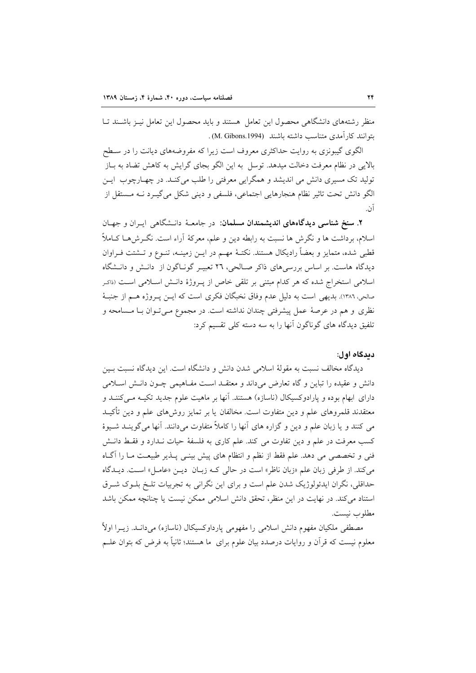منظر رشتههای دانشگاهی محصول این تعامل هستند و باید محصول این تعامل نیـز باشـند تـا ىتوانند كار آمدى متناسب داشته باشند (M. Gibons.1994).

الگوی گیبونزی به روایت حداکثری معروف است زیرا که مفروضههای دیانت را در سـطح بالایی در نظام معرفت دخالت میدهد. توسل به این الگو بجای گرایش به کاهش تضاد به بـاز تولید تک مسیری دانش می اندیشد و همگرایی معرفتی را طلب میکند. در چهبارچوب ایس الگو دانش تحت تاثیر نظام هنجارهایی اجتماعی، فلسفی و دینی شکل میگیـرد نـه مـستقل از آن.

۲. سنخ شناسی دیدگاههای اندیشمندان مسلمان: در جامعهٔ دانشگاهی ایـران و جهـان اسلام، برداشت ها و نگرش ها نسبت به رابطه دین و علم، معرکهٔ آراء است. نگـرشهــا کــاملاً قطبی شده، متمایز و بعضاً رادیکال هستند. نکتـهٔ مهـم در ایــن زمینــه، تنــوع و تــشتت فــراوان دیدگاه هاست. بر اساس بررسه های ذاکر صـالحی، ۲۲ تعبیـر گونـاگون از دانـش و دانـشگاه اسلامی استخراج شده که هر کدام مبتنی بر تلقی خاص از پـروژهٔ دانــش اســلامی اســت (د<sub>اکـر</sub> صالحي، ١٣٨٦). بديهي است به دليل عدم وفاق نخبگان فكري است كه ايــن پــروژه هــم از جنبــهٔ نظری و هم در عرصهٔ عمل پیشرفتی چندان نداشته است. در مجموع مـیتـوان بـا مـسامحه و تلفیق دیدگاه های گوناگون آنها را به سه دسته کلی تقسیم کرد:

#### دىدگاه اول:

دیدگاه مخالف نسبت به مقولهٔ اسلامی شدن دانش و دانشگاه است. این دیدگاه نسبت بـین دانش و عقیده را تباین و گاه تعارض میداند و معتقـد اسـت مفـاهیمی چـون دانـش اسـلامی دارای ابهام بوده و پارادوکسیکال (ناسازه) هستند. آنها بر ماهیت علوم جدید تکیـه مـی کننـد و معتقدند قلمروهای علم و دین متفاوت است. مخالفان یا بر تمایز روش۵ای علم و دین تأکیــد می کنند و یا زبان علم و دین و گزاره های آنها را کاملاً متفاوت میدانند. آنها میگوینــد شــیوهٔ کسب معرفت در علم و دین تفاوت می کند. علم کاری به فلسفهٔ حیات نـدارد و فقـط دانـش فنی و تخصصی می دهد. علم فقط از نظم و انتظام های پیش بینـی پــذیر طبیعــت مــا را آگــاه می كند. از طرفي زبان علم «زبان ناظر» است در حالي كـه زبـان ديـن «عامـل» اسـت. ديـدگاه حداقلی، نگران ایدئولوژیک شدن علم است و برای این نگرانی به تجربیات تلـخ بلـوک شـرق استناد می کند. در نهایت در این منظر، تحقق دانش اسلامی ممکن نیست یا چنانچه ممکن باشد مطلوب نست.

مصطفی ملکیان مفهوم دانش اسلامی را مفهومی پارداوکسیکال (ناسازه) میدانــد. زیــرا اولاً معلوم نیست که قرأن و روایات درصدد بیان علوم برای ً ما هستند؛ ثانیاً به فرض که بتوان علــم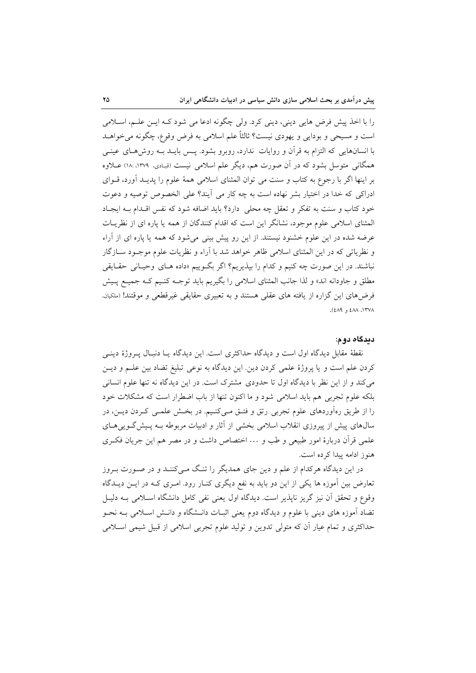را با اخذ پیش فرض هایی دینی، دینی کرد. ولی چگونه ادعا می شود کـه ایــن علــم، اســلامی است و مسیحی و بودایی و یهودی نیست؟ ثالثاً علم اسلامی به فرض وقوع، چگونه می خواهــد با انسانهایی که التزام به قرأن و روایات ندارد، روبرو بشود. پـس بایــد بــه روش۵حـای عینــی همگانی متوسل بشود که در آن صورت هم، دیگر علم اسلامی نیست (قبادی، ۱۳۷۹، ۱۸: ۱۸) عــلاوه بر اینها اگر با رجوع به کتاب و سنت می توان المثنای اسلامی همهٔ علوم را یدیـد آورد، قــوای ادراکی که خدا در اختیار بشر نهاده است به چه کار می آیند؟ علی الخصوص توصیه و دعوت خود کتاب و سنت به تفکر و تعقل چه محلی دارد؟ باید اضافه شود که نفس اقـدام بـه ایجـاد المثناي اسلامي علوم موجود، نشانگر اين است كه اقدام كنندگان از همه يا پاره اي از نظريـات عرضه شده در این علوم خشنود نیستند. از این رو پیش بینی میشود که همه یا پاره ای از آراء و نظریاتی که در این المثنای اسلامی ظاهر خواهد شد با آراء و نظریات علوم موجـود ســازگار نباشند. در این صورت چه کنیم و کدام را بپذیریم؟ اگر بگـوییم «داده هـای وحیـانی حقـایقی مطلق و جاودانه اند» و لذا جانب المثناي اسلامي را بگيريم بايد توجـه كنـيم كـه جميـع پـيش فرضهای این گزاره از یافته های عقلی هستند و به تعبیری حقایقی غیرقطعی و موقتند! (ملکیان، ١٣٧٨، ٤٨٨ و ٤٨٩).

#### دىدگاه دوم:

نقطهٔ مقابل دیدگاه اول است و دیدگاه حداکثری است. این دیدگاه یـا دنبـال پـروژهٔ دینـی کردن علم است و یا پروژهٔ علمی کردن دین این دیدگاه به نوعی تبلیغ تضاد بین علــم و دیــن می کند و از این نظر با دیدگاه اول تا حدودی مشترک است. در این دیدگاه نه تنها علوم انسانی بلکه علوم تجربی هم باید اسلامی شود و ما اکنون تنها از باب اضطرار است که مشکلات خود را از طریق رهآوردهای علوم تجربی رتق و فتـق مـیکنـیم. در بخـش علمـی کـردن دیـن، در سال های پیش از پیروزی انقلاب اسلامی بخشی از آثار و ادبیات مربوطه بـه پـیش گـویی هـای علمی قرآن دربارهٔ امور طبیعی و طب و ... اختصاص داشت و در مصر هم این جریان فکری هنوز ادامه پیدا کرده است.

در این دیدگاه هرکدام از علم و دین جای همدیگر را تنگ مـیکننـد و در صـورت بـروز تعارض بین آموزه ها یکی از این دو باید به نفع دیگری کنـار رود. امـری کـه در ایــن دیــدگاه وقوع و تحقق آن نیز گریز ناپذیر است. دیدگاه اول یعنی نفی کامل دانشگاه اسلامی بـه دلیـل تضاد آموزه های دینی با علوم و دیدگاه دوم یعنی اثبـات دانـشگاه و دانـش اسـلامی بــه نحــو حداکثری و تمام عیار أن که متولی تدوین و تولید علوم تجربی اسلامی از قبیل شیمی اسـلامی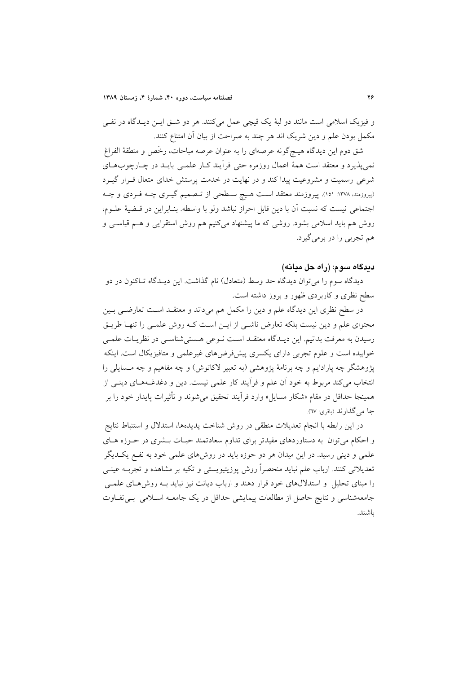و فيزيک اسلامي است مانند دو لبهٔ يک قيچي عمل ميکنند. هر دو شـق ايـن ديـدگاه در نفـي مکمل بودن علم و دین شریک اند هر چند به صراحت از بیان آن امتناع کنند.

شق دوم این دیدگاه هیـچگونه عرصهای را به عنوان عرصه مباحات، رخَص و منطقهٔ الفراغ نمي پذيرد و معتقد است همهٔ اعمال روزمره حتى فرأيند كـار علمـي بايــد در چــارچوبهــاي شرعی رسمیت و مشروعیت پیدا کند و در نهایت در خدمت پرستش خدای متعال قـرار گیـرد (پیروزمند، ۱۳۷۸: ۱۵۱). پیروزمند معتقد است هیچ سطحی از تـصمیم گیـری چـه فـردی و چـه اجتماعي نيست كه نسبت أن با دين قابل احراز نباشد ولو با واسطه. بنـابراين در قـضيهٔ علـوم، روش هم باید اسلامی بشود. روشی که ما پیشنهاد میکنیم هم روش استقرایی و هــم قیاســی و هم تجربي را در برمي گيرد.

#### دېدگاه سوم: (راه حل ميانه)

دیدگاه سوم را می توان دیدگاه حد وسط (متعادل) نام گذاشت. این دیـدگاه تـاکنون در دو سطح نظری و کاربردی ظهور و بروز داشته است.

در سطح نظری این دیدگاه علم و دین را مکمل هم میداند و معتقـد اسـت تعارضـی بـین محتوای علم و دین نیست بلکه تعارض ناشـی از ایـن اسـت کـه روش علمـی را تنهـا طریـق رسيدن به معرفت بدانيم. اين ديـدگاه معتقــد اسـت نــوعي هــستي شناســي در نظريــات علمــي خوابیده است و علوم تجربی دارای یکسری پیشفررضهای غیرعلمی و متافیزیکال است. اینکه پژوهشگر چه پارادایم و چه برنامهٔ پژوهشی (به تعبیر لاکاتوش) و چه مفاهیم و چه مـسایلی را انتخاب می کند مربوط به خود آن علم و فرآیند کار علمی نیست. دین و دغدغـههـای دینـی از همینجا حداقل در مقام «شکار مسایل» وارد فراّیند تحقیق می شوند و تأثیرات پایدار خود را بر جا مي گذارند (باقري: ٦٧).

در این رابطه با انجام تعدیلات منطقی در روش شناخت پدیدهها، استدلال و استنباط نتایج و احکام میتوان به دستاوردهای مفیدتر برای تداوم سعادتمند حیـات بـشری در حـوزه هـای علمی و دینی رسید. در این میدان هر دو حوزه باید در روش۵لی علمی خود به نفـع یکـدیگر تعدیلاتی کنند. ارباب علم نباید منحصراً روش پوزیتیویستی و تکیه بر مشاهده و تجربـه عینــی را مبنای تحلیل و استدلال های خود قرار دهند و ارباب دیانت نیز نباید بـه روش هـای علمـی جامعهشناسی و نتایج حاصل از مطالعات پیمایشی حداقل در یک جامعـه اسـلامی بـی تفـاوت ىاشند.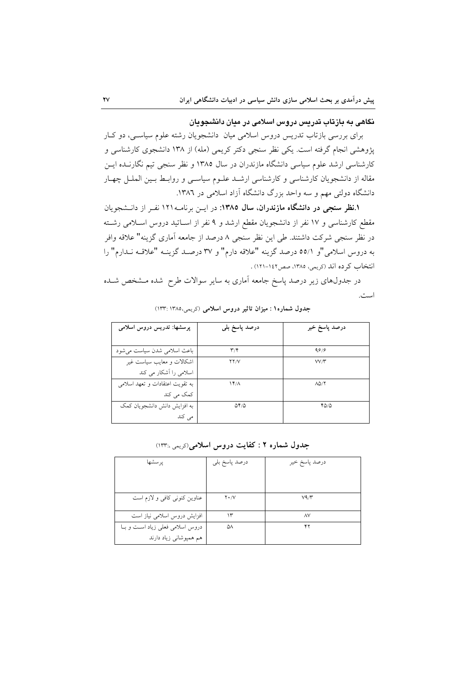نگاهی به بازتاب تدریس دروس اسلامی در میان دانشجویان

برای بررسی بازتاب تدریس دروس اسلامی میان دانشجویان رشته علوم سیاسبی، دو کبار پژوهشی انجام گرفته است. یکی نظر سنجی دکتر کریمی (مله) از ۱۳۸ دانشجوی کارشناسی و کارشناسی ارشد علوم سیاسی دانشگاه مازندران در سال ۱۳۸۵ و نظر سنجی تیم نگارنـده ایــن مقاله از دانشجویان کارشناسی و کارشناسی ارشـد علـوم سیاسـی و روابـط بـین الملـل چهـار دانشگاه دولتی مهم و سه واحد بزرگ دانشگاه آزاد اسلامی در ۱۳۸۲.

۱.نظر سنجی در دانشگاه مازندران، سال ۱۳۸۵: در این برنامـه ۱۲۱ نفـر از دانـشجویان مقطع کارشناسی و ١٧ نفر از دانشجویان مقطع ارشد و ٩ نفر از اسـاتید دروس اسـلامی رشـته در نظر سنجی شرکت داشتند. طی این نظر سنجی ۸ درصد از جامعه آماری گزینه" علاقه وافر به دروس اسلامی"و ٥٥/١ درصد گزینه "علاقه دارم" و ٣٧ درصـد گزینـه "علاقـه نـدارم" را انتخاب کر ده اند (کریمی، ۱۳۸۵، صص۱٤۲-۱۲۱) .

در جدولهای زیر درصد پاسخ جامعه آماری به سایر سوالات طرح شده مـشخص شـده است.

| یرسشها: تدریس دروس اسلامی       | درصد پاسخ بل <sub>ی</sub> | درصد پاسخ خیر            |
|---------------------------------|---------------------------|--------------------------|
|                                 |                           |                          |
| باعث اسلامی شدن سیاست می شود    | $\mathbf{r}/\mathbf{r}$   | 99/9                     |
| اشکالات و معایب سیاست غیر       | YY/V                      | VV/Y                     |
| اسلامی را اَشکار می کند         |                           |                          |
| به تقويت اعتقادات و تعهد اسلامي | $14^{\circ}$              | $\Lambda\Delta/\Upsilon$ |
| کمک می کند                      |                           |                          |
| به افزایش دانش دانشجویان کمک    | $\Delta f/\Delta$         | ۲۵/۵                     |
| می کند                          |                           |                          |

جدول شماره ١ : میزان تاثیر دروس اسلامی (کریمی،١٣٨٥ :١٣٣)

جدول شماره ۲ : کفایت دروس اسلامی(کریمی،۱۳۳:

| يرسشها                         | درصد پاسخ بلي | درصد پاسخ خیر |
|--------------------------------|---------------|---------------|
|                                |               |               |
| عناوين كنوني كافي و لازم است   | $Y \cdot / V$ | V9/Y          |
| افزایش دروس اسلامی نیاز است    | ۱۳            | $\wedge\vee$  |
| دروس اسلامی فعلی زیاد است و با | ۵۸            | ۴۲            |
| هم همپوشانی زیاد دارند         |               |               |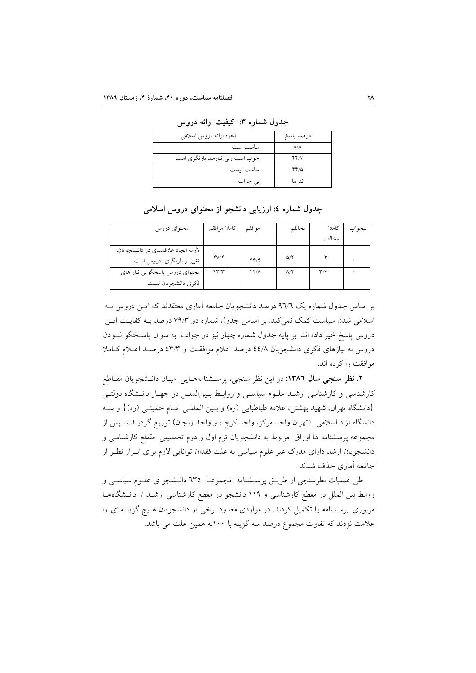| نحوه ارائه دروس اسلامى          | درصد پاسخ         |
|---------------------------------|-------------------|
| مناسب است                       | $\Lambda/\Lambda$ |
| خوب است ولی نیازمند بازنگری است | YY/V              |
| مناسب نيست                      | 44/0              |
| بی جواب                         | تقريبا            |

جدول شماره ۳: کیفیت ارائه دروس

جدول شماره ٤: ارزيابي دانشجو از محتواي دروس اسلامي

| محتواي دروس                         | كاملا موافقم           | موافقم | مخالفم      | كاملا                    | بيجواب |
|-------------------------------------|------------------------|--------|-------------|--------------------------|--------|
|                                     |                        |        |             | مخالفم                   |        |
| لازمه ايجاد علاقمندي در دانـشجويان، |                        |        |             |                          |        |
| تغییر و بازنگری دروس است            | fV/F                   | YY'    | $\Delta/Y$  |                          |        |
| محتوای دروس پاسخگویی نیاز های       | $\mathsf{r}\mathsf{r}$ | ۴۴/۸   | $\lambda$ / | $\mathsf{r}'/\mathsf{v}$ |        |
| فكرى دانشجويان نيست                 |                        |        |             |                          |        |

بر اساس جدول شماره یک ۹٦/٦ درصد دانشجویان جامعه آماری معتقدند که ایــن دروس بــه اسلامی شدن سیاست کمک نمی کند. بر اساس جدول شماره دو ۷۹/۳ درصد بـه کفایـت ایــن دروس پاسخ خیر داده اند. بر پایه جدول شماره چهار نیز در جواب به سوال پاسـخگو نبــودن دروس به نیازهای فکری دانشجویان ٤٤/٨ درصد اعلام موافقت و ٤٣/٣ درصد اعـلام كـاملا موافقت را کرده اند.

۲. نظر سنجی سال ۱۳۸٦: در این نظر سنجی، پرســشنامههـایی میـان دانــشجویان مقــاطع کارشناسی و کارشناسی ارشـد علـوم سیاسـی و روابـط بـینالملـل در چهـار دانـشگاه دولتـی {دانشگاه تهران، شهید بهشتی، علامه طباطبایی (ره) و بـین المللـی امـام خمینـی (ره)} و سـه دانشگاه آزاد اسلامی (تهران واحد مرکز، واحد کرج ، و واحد زنجان) توزیع گردیــد.سـپس از مجموعه پرسشنامه ها اوراق ً مربوط به دانشجویان ترم اول و دوم تحصیلی ً مقطع کارشناسی و دانشجویان ارشد دارای مدرک غیر علوم سیاسی به علت فقدان توانایی لازم برای ابـراز نظـر از جامعه أماري حذف شدند .

طی عملیات نظرسنجی از طریــق پرســشنامه مجموعــا ٦٣٥ دانــشجو ی علــوم سیاســی و روابط بین الملل در مقطع کارشناسی و ۱۱۹ دانشجو در مقطع کارشناسی ارشـد از دانــشگاههــا مزبوری پرسشنامه را تکمیل کردند. در مواردی معدود برخی از دانشجویان هـیچ گزینــه ای را علامت نزدند که تفاوت مجموع درصد سه گزینه با ۱۰۰به همین علت می باشد.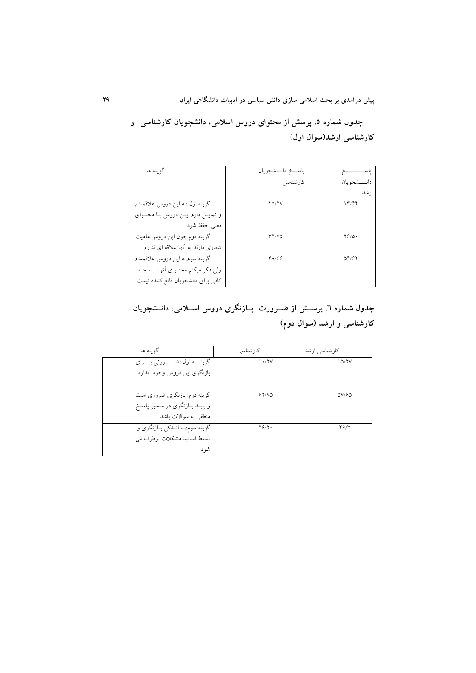جدول شماره ٥. پرسش از محتوای دروس اسلامی، دانشجویان کارشناسی و کارشناسی ارشد(سوال اول)

| گز بنه ها                              | پاســـخ دانـــشجويان |                 |
|----------------------------------------|----------------------|-----------------|
|                                        | کارشناسی             | دانـــــشجو بان |
|                                        |                      | رشد             |
| گزينه اول :به اين دروس علاقمندم        | 10/7V                | 1779            |
| و تمايـل دارم ايـن دروس بـا محتـواي    |                      |                 |
| فعلى حفظ شود                           |                      |                 |
| گزینه دوم:چون این دروس ماهیت           | <b>TY/VQ</b>         | $Y/\Delta$      |
| شعاری دارند به آنها علاقه ای ندارم     |                      |                 |
| گزينه سوم:به اين دروس علاقمندم         | 48/68                | QY/5Y           |
| ولی فکر میکنم محتـوای اّنهـا بــه حــد |                      |                 |
| كافى براى دانشجويان قانع كننده نيست    |                      |                 |

## جدول شماره ٦. پرســـش از ضـــرورت بـــازنگری دروس اســـلامی، دانـــشجویان کارشناسی و ارشد (سوال دوم)

| گز بنه ها                           | کار شناسے ِ | کارشناسی ارشد      |
|-------------------------------------|-------------|--------------------|
| گزينــــه اول :ضــــرورتي بــــراي  | 1.7V        | 10/7V              |
| بازنگری این دروس وجود ندارد         |             |                    |
|                                     |             |                    |
| گزینه دوم: بازنگری ضروری است        | 51/10       | $\Delta V/F\Delta$ |
| و بایــد بــازنگری در مــسیر پاســخ |             |                    |
| منطقى به سوالات باشد.               |             |                    |
| گزينه سوم:بـا انـدکي بـازنگري و     | $Y$ ۶/۲۰    | ۲۶/۳               |
| تسلط اساتيد مشكلات برطرف مي         |             |                    |
| شو د                                |             |                    |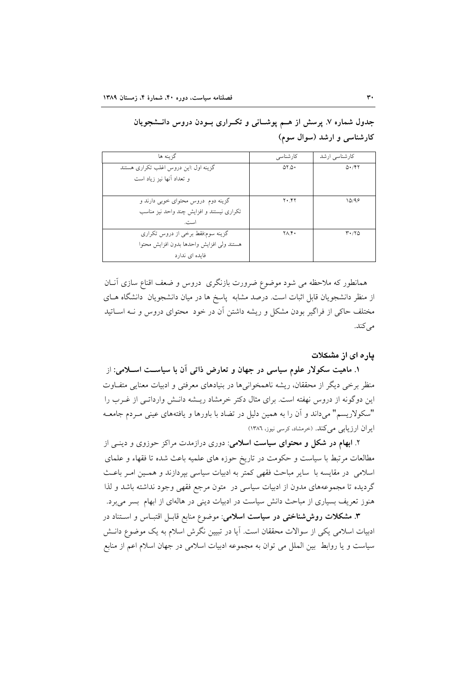| گزينه ها                                  | کارشناسی            | کارشناسی ارشد        |
|-------------------------------------------|---------------------|----------------------|
| گزینه اول :این دروس اغلب تکراری هستند     | $\Delta Y \Delta Y$ | 0.797                |
| و تعداد أنها نيز زياد است                 |                     |                      |
|                                           |                     |                      |
| گزینه دوم دروس محتوای خوبی دارند و        | $Y \cdot Y$         | 10/99                |
| تکراری نیستند و افزایش چند واحد نیز مناسب |                     |                      |
| است.                                      |                     |                      |
| گزینه سوم:فقط برخی از دروس تکراری         | ۲۸.۴۰               | $Y \cdot / Y \Delta$ |
| هستند ولى افزايش واحدها بدون افزايش محتوا |                     |                      |
| فایده ای ندارد                            |                     |                      |

جدول شماره ۷. پرسش از هــم پوشــانی و تکــراری بــودن دروس دانــشجویان کارشناسی و ارشد (سوال سوم)

همانطور که ملاحظه می شود موضوع ضرورت بازنگری دروس و ضعف اقناع سازی آنـان از منظر دانشجویان قابل اثبات است. درصد مشابه پاسخ ها در میان دانشجویان دانشگاه هـای مختلف حاکی از فراگیر بودن مشکل و ریشه داشتن آن در خود محتوای دروس و نـه اســاتید مى كند.

#### یاره ای از مشکلات

۱. ماهیت سکولار علوم سیاسی در جهان و تعارض ذاتی آن با سیاسـت اســلامی: از منظر برخی دیگر از محققان، ریشه ناهمخوانیها در بنیادهای معرفتی و ادبیات معنایی متفـاوت این دوگونه از دروس نهفته است. برای مثال دکتر خرمشاد ریـشه دانـش وارداتـی از غــرب را "سکولاریسم" میداند و آن را به همین دلیل در تضاد با باورها و یافتههای عینی مـردم جامعـه ایران ارزیابی میکند. (خرمشاد، کرسی نیوز، ۱۳۸٦)

۲. ابهام در شکل و محتوای سیاست اسلامی: دوری درازمدت مراکز حوزوی و دینبی از مطالعات مرتبط با سیاست و حکومت در تاریخ حوزه های علمیه باعث شده تا فقهاء و علمای اسلامی در مقایسه با سایر مباحث فقهی کمتر به ادبیات سیاسی بپردازند و همـین امـر باعـث گردیده تا مجموعههای مدون از ادبیات سیاسی در متون مرجع فقهی وجود نداشته باشد و لذا هنوز تعریف بسیاری از مباحث دانش سیاست در ادبیات دینی در هالهای از ابهام بسر می برد.

**۳**. مشکلات روش شناختی در سیاست اسلامی: موضوع منابع قابـل اقتبـاس و اسـتناد در ادبیات اسلامی یکی از سوالات محققان است. آیا در تبیین نگرش اسلام به یک موضوع دانـش سیاست و یا روابط بین الملل می توان به مجموعه ادبیات اسلامی در جهان اسلام اعم از منابع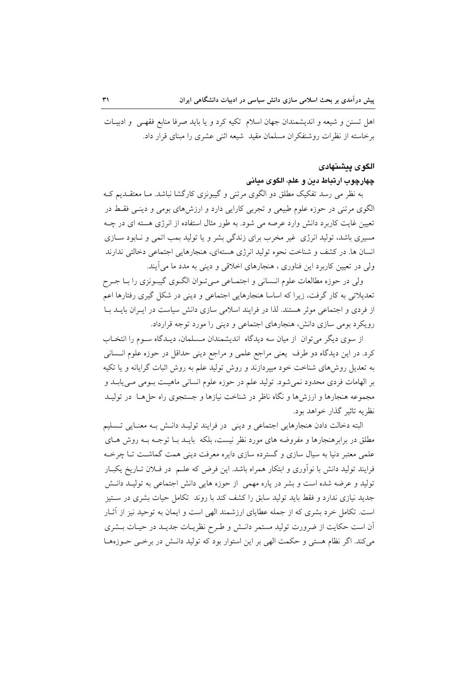اهل تسنن و شیعه و اندیشمندان جهان اسلام تکیه کرد و یا باید صرفا منابع فقهـی و ادبیـات برخاسته از نظرات روشنفکران مسلمان مقید شیعه اثنی عشری را مبنای قرار داد.

#### الگوى پيشنهادى

#### چهارچوب ارتباط دين و علم، الگوی مياني

به نظر می رسد تفکیک مطلق دو الگوی مرتنی و گیبونزی کارگشا نباشد. مـا معتقــدیم کــه الگوی مرتنی در حوزه علوم طبیعی و تجربی کارایی دارد و ارزشهای بومی و دینـی فقـط در تعیین غایت کاربرد دانش وارد عرصه می شود. به طور مثال استفاده از انرژی هسته ای در چـه مسیری باشد، تولید انرژی غیر مخرب برای زندگی بشر و یا تولید بمب اتمی و نـابود سـازی انسان ها. در كشف و شناخت نحوه توليد انرژى هستهاى، هنجارهايي اجتماعي دخالتي ندارند ولي در تعيين كاربرد اين فناوري ، هنجارهاي اخلاقي و ديني به مدد ما مي آيند.

ولي در حوزه مطالعات علوم انــساني و اجتمــاعي مــيتــوان الگــوي گيبــونزي را بــا جــرح تعدیلاتی به کار گرفت، زیرا که اساسا هنجارهایی اجتماعی و دینی در شکل گیری رفتارها اعم از فردی و اجتماعی موثر هستند. لذا در فرایند اسلامی سازی دانش سیاست در ایـران بایـد بـا رویکرد بومی سازی دانش، هنجارهای اجتماعی و دینی را مورد توجه قرارداد.

از سوی دیگر می توان از میان سه دیدگاه اندیشمندان مـسلمان، دیـدگاه سـوم را انتخـاب کرد. در این دیدگاه دو طرف یعنی مراجع علمی و مراجع دینی حداقل در حوزه علوم انــسانی به تعدیل روشهای شناخت خود میپردازند و روش تولید علم به روش اثبات گرایانه و یا تکیه بر الهامات فردي محدود نمي شود. توليد علم در حوزه علوم انساني ماهيـت بـومي مـي يابــد و مجموعه هنجارها و ارزشها و نگاه ناظر در شناخت نیازها و جستجوی راه حلهما ً در تولیــد نظریه تاثیر گذار خواهد بود.

البته دخالت دادن هنجارهايي اجتماعي و ديني در فرايند توليـد دانـش بـه معنـايي تـسليم مطلق در برابرهنجارها و مفروضه های مورد نظر نیست، بلکه بایــد بــا توجــه بــه روش هــای علمی معتبر دنیا به سیال سازی و گسترده سازی دایره معرفت دینی همت گماشت تـا چرخـه فرایند تولید دانش با نوآوری و ابتکار همراه باشد. این فرض که علـم ً در فــلان تــاریخ یکبــار تولید و عرضه شده است و بشر در یاره مهمی از حوزه هایی دانش اجتماعی به تولیـد دانــش جدید نیازی ندارد و فقط باید تولید سابق را کشف کند با روند تکامل حیات بشری در سـتیز است. تکامل خرد بشری که از جمله عطایای ارزشمند الهی است و ایمان به توحید نیز از آثــار آن است حکایت از ضرورت تولید مستمر دانـش و طـرح نظریـات جدیـد در حیـات بـشری می کند. اگر نظام هستی و حکمت الهی بر این استوار بود که تولید دانـش در برخـی حـوزههـا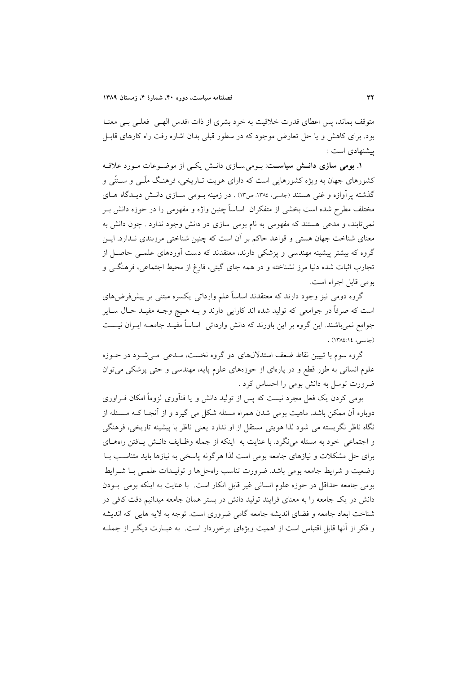متوقف بماند، پس اعطای قدرت خلاقیت به خرد بشری از ذات اقدس الهـی فعلـی بـی معنـا بود. برای کاهش و یا حل تعارض موجود که در سطور قبلی بدان اشاره رفت راه کارهای قابـل ييشنهادي است:

۱. بومی سازی دانسش سیاست: بومیسازی دانش یکی از موضوعات مورد علاقه کشورهای جهان به ویژه کشورهایی است که دارای هویت تـاریخی، فرهنـگ ملّـی و سـنتّـی و گذشته پرآوازه و غنی هستند (جاسبی، ۱۳۸۶ ص۱۳) . در زمینه بـومی سـازی دانـش دیـدگاه هـای مختلف مطرح شده است بخشی از متفکران اساساً چنین واژه و مفهومی را در حوزه دانش بـر نمي تابند، و مدعي هستند كه مفهومي به نام بومي سازي در دانش وجود ندارد . چون دانش به معنای شناخت جهان هستی و قواعد حاکم بر أن است که چنین شناختی مرزبندی نـدارد. ایــن گروه که بیشتر پیشینه مهندسی و پزشکی دارند، معتقدند که دست آوردهای علمـی حاصـل از تجارب اثبات شده دنیا مرز نشناخته و در همه جای گیتی، فارغ از محیط اجتماعی، فرهنگــی و بومي قابل اجراء است.

گروه دومی نیز وجود دارند که معتقدند اساساً علم وارداتی یکسره مبتنی بر پیشفرضهای است که صرفاً در جوامعی که تولید شده اند کارایی دارند و بـه هـیچ وجـه مفیـد حـال ســایر جوامع نمی باشند. این گروه بر این باورند که دانش وارداتی ِ اساساً مفیـد جامعـه ایــران نیــست (جاسبي، ١٤:١٤/١٣٨٤).

گروه سوم با تبیین نقاط ضعف استدلالهای دو گروه نخست، مـدعی مـیشـود در حــوزه علوم انسانی به طور قطع و در پارهای از حوزههای علوم پایه، مهندسی و حتی پزشکی می توان ضرورت توسل به دانش بومی را احساس کرد .

بومی کردن یک فعل مجرد نیست که پس از تولید دانش و یا فنآوری لزوماً امکان فـراوری دوباره آن ممکن باشد. ماهیت بومی شدن همراه مسئله شکل می گیرد و از آنجـا کـه مـسئله از نگاه ناظر نگریسته می شود لذا هویتی مستقل از او ندارد یعنی ناظر با پیشینه تاریخی، فرهنگی و اجتماعی خود به مسئله می نگرد. با عنایت به اینکه از جمله وظـایف دانـش پـافتن راههـای برای حل مشکلات و نیازهای جامعه بومی است لذا هرگونه پاسخی به نیازها باید متناسب بـا وضعیت و شرایط جامعه بومی باشد. ضرورت تناسب راهحلها و تولیــدات علمــی بــا شــرایط بومي جامعه حداقل در حوزه علوم انساني غير قابل انكار است. با عنايت به اينكه بومي بـودن دانش در یک جامعه را به معنای فرایند تولید دانش در بستر همان جامعه میدانیم دقت کافی در شناخت ابعاد جامعه و فضای اندیشه جامعه گامی ضروری است. توجه به لایه هایی که اندیشه و فکر از اّنها قابل اقتباس است از اهمیت ویژهای برخوردار است. به عبـارت دیگـر از جملـه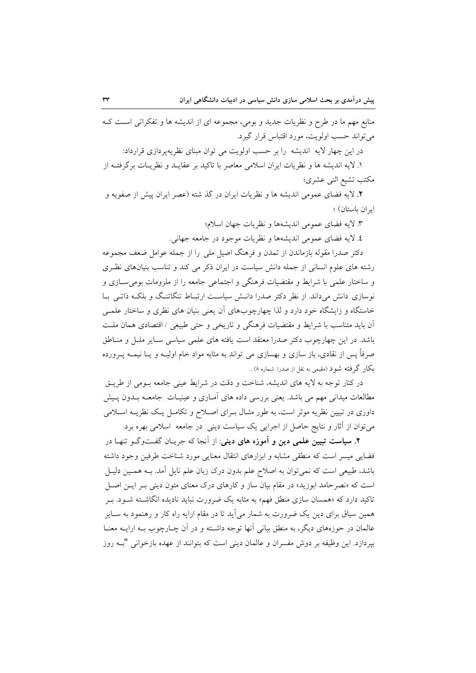منابع مهم ما در طرح و نظریات جدید و بومی، مجموعه ای از اندیشه ها و تفکراتی است ک مي تواند حسب اولويت، مورد اقتباس قرار گيرد. در این چهار لایه اندیشه را بر حسب اولویت می توان مبنای نظریهپردازی قرارداد:

۱. لایه اندیشه ها و نظریات ایران اسلامی معاصر با تاکید بر عقایــد و نظریــات برگرفتــه از مكتب تشيع اثنى عشرى؛

۲. لایه فضای عمومی اندیشه ها و نظریات ایران در گذ شته (عصر ایران پیش از صفویه و ابران باستان) ؛

٣. لايه فضاي عمومي انديشهها و نظريات جهان اسلام؛

٤. لايه فضاي عمومي انديشهها و نظريات موجود در جامعه جهاني.

دکتر صدرا مقوله بازماندن از تمدن و فرهنگ اصیل ملی را از جمله عوامل ضعف مجموعه رشته های علوم انسانی از جمله دانش سیاست در ایران ذکر می کند و تناسب بنیانهای نظری و ساختار علمی با شرایط و مقتضیات فرهنگی و اجتماعی جامعه را از ملزومات بومی سـازی و نوسازی دانش میداند. از نظر دکتر صدرا دانـش سیاسـت ارتبـاط تنگاتنـگ و بلکـه ذاتـی بـا خاستگاه و زایشگاه خود دارد و لذا چهارچوبهای آن یعنی بنیان های نظری و ساختار علمبی أن بايد متناسب با شرايط و مقتضيات فرهنگي و تاريخي و حتى طبيعي / اقتصادي همان ملت باشد. در این چهارچوب دکتر صدرا معتقد است یافته های علمی سیاسی سـایر ملـل و منــاطق صرفاً پس از نقادی، باز سازی و بهسازی می تواند به مثابه مواد خام اولیــه و یــا نیمــه پــرورده بکار گرفته شود (مقیمی به نقل از صدراً. شماره ۸) .

در کنار توجه به لایه های اندیشه، شناخت و دقت در شرایط عینی جامعه بـومی از طریــق مطالعات میدانی مهم می باشد. یعنی بررسی داده های آمـاری و عینیـات جامعــه بــدون پــیش داوری در تبیین نظریه موثر است، به طور مثـال بـرای اصـلاح و تکامـل یـک نظریــه اسـلامی میتوان از آثار و نتایج حاصل از اجرایی یک سیاست دینی ً در جامعه اسلامی بهره برد.

**۲. سیاست تبیین علمی دین و آموزه های دینی**: از آنجا که جریـان گفـتوگـو تنهـا در فضایی میسر است که منطقی مشابه و ابزارهای انتقال معنایی مورد شناخت طرفین وجود داشته باشد، طبیعی است که نمیتوان به اصلاح علم بدون درک زبان علم نایل آمد. بـه همـین دلیـل است که «نصر حامد ابوزید» در مقام بیان ساز و کارهای درک معنای متون دینی بـر ایــن اصــل تاکید دارد که «همسان سازی منطق فهم» به مثابه یک ضرورت نباید نادیده انگاشــته شــود. بــر همین سیاق برای دین یک ضرورت به شمار می آید تا در مقام ارایه راه کار و رهنمود به ســایر عالمان در حوزههای دیگر، به منطق بیانی آنها توجه داشـته و در آن چــارچوب بــه ارایــه معنــا بیردازد. این وظیفه بر دوش مفسران و عالمان دینی است که بتوانند از عهده بازخوانی "بــه روز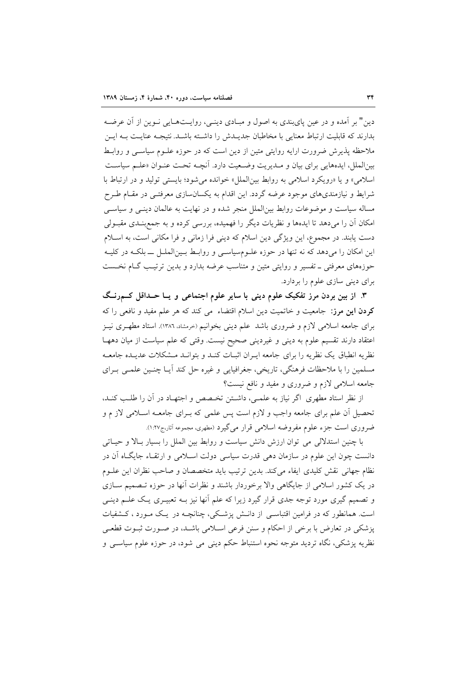دین" بر آمده و در عین پایبندی به اصول و مبـادی دینـی، روایــتهـایی نــوین از آن عرضــه بدارند که قابلیت از تباط معنایی با مخاطبان جدیدش را داشته باشید. نتیجیه عناییت بیه این ملاحظه پذیرش ضرورت ارایه روایتی متین از دین است که در حوزه علـوم سیاسـی و روابـط بين|لملل، ايدههايي براي بيان و مـديريت وضـعيت دارد. أنچــه تحـت عنــوان «علــم سياسـت اسلامي» و يا «رويكرد اسلامي به روابط بين الملل» خوانده مي شود؛ بايستي توليد و در ارتباط با شرایط و نیازمندیهای موجود عرضه گردد. این اقدام به یکسانسازی معرفتـی در مقــام طــرح مساله سیاست و موضوعات روابط بین الملل منجر شده و در نهایت به عالمان دینبی و سیاسبی امکان آن را می دهد تا ایدهها و نظریات دیگر را فهمیده، بررسی کرده و به جمع بنـدی مقبـولی دست یابند. در مجموع، این ویژگی دین اسلام که دینی فرا زمانی و فرا مکانی است، به اسلام این امکان را میدهد که نه تنها در حوزه علـومسیاسـی و روابـط بـینالملـل ــ بلکـه در کلیـه حوزههای معرفتی ــ تفسیر و روایتی متین و متناسب عرضه بدارد و بدین ترتیب گـام نخـست برای دینی سازی علوم را بردارد.

۳. از بین بردن مرز تفکیک علوم دینی با سایر علوم اجتماعی و یــا حــداقل کـــمرنــگ کردن این مرز: جامعیت و خاتمیت دین اسلام اقتضاء می کند که هر علم مفید و نافعی را که برای جامعه اسلامی لازم و ضروری باشد علم دینی بخوانیم (خرمشاد، ۱۳۸۲). استاد مطهـری نیـز اعتقاد دارند تقسیم علوم به دینی و غیردینی صحیح نیست. وقتی که علم سیاست از میان دهها نظریه انطباق یک نظریه را برای جامعه ایـران اثبـات کنـد و بتوانـد مـشکلات عدیـده جامعـه مسلمین را با ملاحظات فرهنگی، تاریخی، جغرافیایی و غیره حل کند آیـا چنـین علمـی بـرای جامعه اسلامی لازم و ضروری و مفید و نافع نیست؟

از نظر استاد مطهری اگر نیاز به علمـی، داشـتن تخـصص و اجتهـاد در آن را طلـب کنـد، تحصیل آن علم برای جامعه واجب و لازم است پس علمی که بـرای جامعـه اسـلامی لاز م و ضروری است جزء علوم مفروضه اسلامی قرار می گیرد (مطهری، مجموعه آثار،ج۱:۲۷.

با چنین استدلالی می توان ارزش دانش سیاست و روابط بین الملل را بسیار بالا و حیـاتی دانست چون این علوم در سازمان دهی قدرت سیاسی دولت اسـلامی و ارتقـاء جایگـاه آن در نظام جهاني نقش كليدي ايفاء ميكند. بدين ترتيب بايد متخصصان و صاحب نظران اين علـوم در یک کشور اسلامی از جایگاهی والا برخوردار باشند و نظرات آنها در حوزه تــصمیم ســازی و تصمیم گیری مورد توجه جدی قرار گیرد زیرا که علم آنها نیز بـه تعبیـری یـک علــم دینــی است. همانطور که در فرامین اقتباسـی از دانـش پزشـکی، چنانچــه در یـک مــورد ، کــشفیات پزشکی در تعارض با برخی از احکام و سنن فرعی اسلامی باشـد، در صـورت ثبـوت قطعـی نظریه پزشکی، نگاه تردید متوجه نحوه استنباط حکم دینی می شود، در حوزه علوم سیاســی و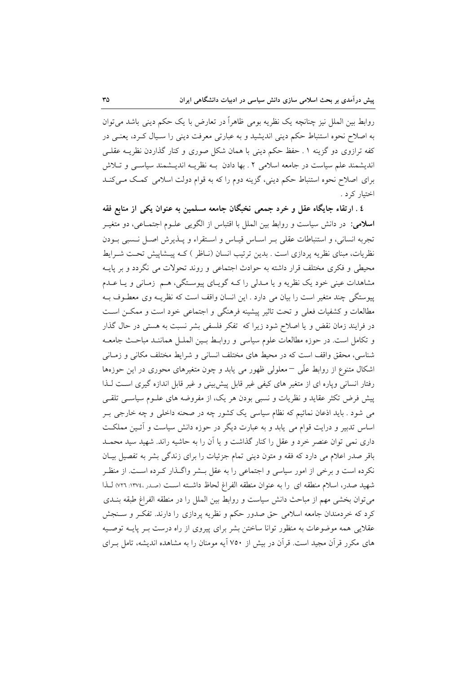روابط بین الملل نیز چنانچه یک نظریه بومی ظاهراً در تعارض با یک حکم دینی باشد می توان به اصلاح نحوه استنباط حکم دینی اندیشید و به عبارتی معرفت دینی را سـیال کـرد، یعنـی در کفه ترازوی دو گزینه ۱ ـ حفظ حکم دینی با همان شکل صوری و کنار گذاردن نظریــه عقلــ ٍ اندیشمند علم سیاست در جامعه اسلامی ۲ ـ بها دادن بـه نظریـه اندیــشمند سیاســی و تــلاش برای اصلاح نحوه استنباط حکم دینی، گزینه دوم را که به قوام دولت اسلامی کمک میکند اختيار كرد .

٤ . ارتقاء جایگاه عقل و خرد جمعی نخبگان جامعه مسلمین به عنوان یکی از منابع فقه **اسلامی**: در دانش سیاست و روابط بین الملل با اقتباس از الگویی علـوم اجتمـاعی، دو متغیـر تجربه انساني، و استنباطات عقلي بـر اسـاس قيـاس و اسـتقراء و پـذيرش اصـل نـسبي بـودن نظریات، مبنای نظریه پردازی است . بدین ترتیب انسان (نـاظر ) کـه پیـشاپیش تحـت شــرایط محیطی و فکری مختلف قرار داشته به حوادث اجتماعی و روند تحولات می نگردد و بر پایــه مشاهدات عینی خود یک نظریه و یا مـدلی را کـه گویـای پیوسـتگی، هـم زمـانی و یـا عـدم پیوستگی چند متغیر است را بیان می دارد . این انسان واقف است که نظریـه وی معطـوف بـه مطالعات و کشفیات فعلی و تحت تاثیر پیشینه فرهنگی و اجتماعی خود است و ممکــز اســت در فرایند زمان نقض و یا اصلاح شود زیرا که تفکر فلسفی بشر نسبت به هستی در حال گذار و تکامل است. در حوزه مطالعات علوم سیاسی و روابط بـین الملـل هماننـد مباحـث جامعـه شناسی، محقق واقف است که در محیط های مختلف انسانی و شرایط مختلف مکانی و زمـانی اشکال متنوع از روابط علّی –معلولی ظهور می یابد و چون متغیرهای محوری در این حوزهها رفتار انسانی ویاره ای از متغیر های کیفی غیر قابل پیش بینی و غیر قابل اندازه گیری است لـذا پیش فرض تکثر عقاید و نظریات و نسبی بودن هر یک، از مفروضه های علـوم سیاسـی تلقـی می شود . باید اذعان نمائیم که نظام سیاسی یک کشور چه در صحنه داخلی و چه خارجی بـر اساس تدبیر و درایت قوام می یابد و به عبارت دیگر در حوزه دانش سیاست و آئـین مملکـت داری نمی توان عنصر خرد و عقل را کنار گذاشت و یا آن را به حاشیه راند. شهید سید محمـد باقر صدر اعلام می دارد که فقه و متون دینی تمام جزئیات را برای زندگی بشر به تفصیل بیـان نکرده است و برخی از امور سیاسی و اجتماعی را به عقل بــشر واگــذار کــرده اســت. از منظــر شهيد صدر، اسلام منطقه اي را به عنوان منطقه الفراغ لحاظ داشته است (صدر ،١٣٧٤ ن ٧٢٦) لـذا مي توان بخشي مهم از مباحث دانش سياست و روابط بين الملل را در منطقه الفراغ طبقه بنــدي کرد که خردمندان جامعه اسلامی حق صدور حکم و نظریه پردازی را دارند. تفک و سـنجش عقلایی همه موضوعات به منظور توانا ساختن بشر برای پیروی از راه درست بـر پایــه توصــیه های مکرر قرآن مجید است. قرآن در بیش از ۷۵۰ آیه مومنان را به مشاهده اندیشه، تامل بــرای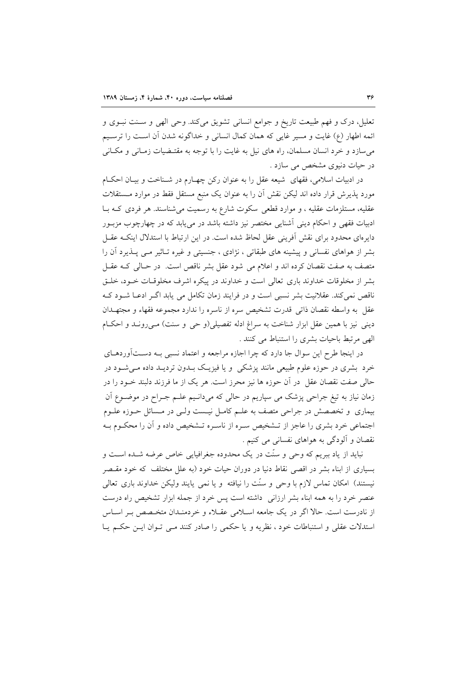تعلیل، درک و فهم طبیعت تاریخ و جوامع انسانی تشویق میکند. وحی الهی و سـنت نبـوی و ائمه اطهار (ع) غايت و مسير غايي كه همان كمال انساني و خداگونه شدن أن اسـت را ترسـيم میسازد و خرد انسان مسلمان، راه های نیل به غایت را با توجه به مقتـضیات زمـانی و مکـانی در حیات دنیوی مشخص می سازد .

در ادبیات اسلامی، فقهای شیعه عقل را به عنوان رکن چهـارم در شـناخت و بیـان احکـام مورد پذیرش قرار داده اند لیکن نقش آن را به عنوان یک منبع مستقل فقط در موارد مـستقلات عقلیه، مستلزمات عقلیه ، و موارد قطعی سکوت شارع به رسمیت می شناسند. هر فردی کـه بـا ادبیات فقهی و احکام دینی آشنایی مختصر نیز داشته باشد در می یابد که در چهارچوب مزبـور دایرهای محدود برای نقش أفرینی عقل لحاظ شده است. در این ارتباط با استدلال اینکـه عقــل بشر از هواهای نفسانی و پیشینه های طبقاتی ، نژادی ، جنسیتی و غیره تـاثیر مـی پــذیرد آن را متصف به صفت نقصان کرده اند و اعلام می شود عقل بشر ناقص است. در حـالی کـه عقــا ً بشر از مخلوقات خداوند باری تعالی است و خداوند در پیکره اشرف مخلوقـات خــود، خلــق ناقص نمی کند. عقلانیت بشر نسبی است و در فرایند زمان تکامل می یابد اگـر ادعـا شـود کـه عقل به واسطه نقصان ذاتی قدرت تشخیص سره از ناسره را ندارد مجموعه فقهاء و مجتهـدان دینی نیز با همین عقل ابزار شناخت به سراغ ادله تفصیلی(و حی و سنت) مـیرونـد و احکـام الهي مرتبط باحيات بشرى را استنباط مي كنند .

در اینجا طرح این سوال جا دارد که چرا اجازه مراجعه و اعتماد نسبی بـه دسـتآوردهــای خرد بشری در حوزه علوم طبیعی مانند پزشکی و یا فیزیک بـدون تردیـد داده مـیشـود در حالي صفت نقصان عقل ً در آن حوزه ها نيز محرز است. هر يک از ما فرزند دلبند خــود را در زمان نیاز به تیغ جراحی پزشک می سپاریم در حالی که میدانـیم علــم جــراح در موضــوع اَن بیماری و تخصصش در جراحی متصف به علـم کامـل نیـست ولـی در مـسائل حـوزه علـوم اجتماعی خرد بشری را عاجز از تـشخیص سـره از ناسـره تـشخیص داده و آن را محکـوم بـه نقصان و آلودگی به هواهای نفسانی می کنیم .

نباید از یاد ببریم که وحی و سنّت در یک محدوده جغرافیایی خاص عرضه شــده اســت و بسیاری از ابناء بشر در اقصی نقاط دنیا در دوران حیات خود (به علل مختلف که خود مقـصر نیستند) امکان تماس لازم با وحی و سنّت را نیافته و یا نمی پایند ولیکن خداوند باری تعالی عنصر خرد را به همه ابناء بشر ارزانی ً داشته است پس خرد از جمله ابزار تشخیص راه درست از نادرست است. حالا اگر در یک جامعه اسـلامی عقـلاء و خردمنـدان متخـصص بـر اسـاس استدلات عقلی و استنباطات خود ، نظریه و یا حکمی را صادر کنند مـی تـوان ایـن حکـم یـا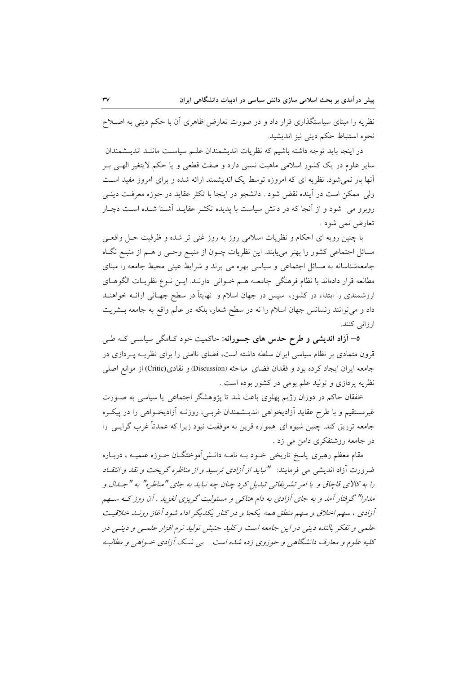نظریه را مبنای سیاستگذاری قرار داد و در صورت تعارض ظاهری آن با حکم دینی به اصـلاح نحوه استنباط حکم دینی نیز اندیشید.

در اينجا بايد توجه داشته باشيم كه نظريات انديشمندان علـم سياسـت ماننـد انديــشمندان سایر علوم در یک کشور اسلامی ماهیت نسبی دارد و صفت قطعی و یا حکم لایتغیر الهـی بـر آنها بار نمی شود. نظریه ای که امروزه توسط یک اندیشمند ارائه شده و برای امروز مفید است ولی ممکن است در آینده نقض شود . دانشجو در اینجا با تکثر عقاید در حوزه معرفت دینـی روبرو می شود و از آنجا که در دانش سیاست با پدیده تکثـر عقایـد آشـنا شـده اسـت دچـار تعارض نمي شود .

با چنین رویه ای احکام و نظریات اسلامی روز به روز غنی تر شده و ظرفیت حـل واقعـی مسائل اجتماعی کشور را بهتر میbیابند. این نظریات چــون از منبــع وحــی و هــم از منبــع نگــاه جامعهشناسانه به مسائل اجتماعی و سیاسی بهره می برند و شرایط عینی محیط جامعه را مبنای مطالعه قرار دادهاند با نظام فرهنگی جامعــه هــم خــوانی دارنــد. ايــن نــوع نظريــات الگوهــای ارزشمندی را ابتداء در کشور، سپس در جهان اسلام و نهایتاً در سطح جهـانی ارائــه خواهنــد داد و می توانند رنسانس جهان اسلام را نه در سطح شعار، بلکه در عالم واقع به جامعه بـشريت ارزانی کنند.

0– اَزاد اندیشی و طرح حدس های جسورانه: حاکمیت خود کـامگی سیاسـی کـه طـی قرون متمادی بر نظام سیاسی ایران سلطه داشته است، فضای ناامنی را برای نظریـه پـردازی در جامعه ايران ايجاد كرده بود و فقدان فضاي مباحثه (Discussion) و نقادي(Critic) از موانع اصلي نظریه پردازی و تولید علم بومی در کشور بوده است .

خفقان حاکم در دوران رژیم پهلوی باعث شد تا پژوهشگر اجتماعی یا سیاسی به صـورت غیرمستقیم و با طرح عقاید آزادیخواهی اندیــشمندان غربــی، روزنــه آزادیخــواهـی را در پیکــره جامعه تزریق کند. چنین شیوه ای همواره قرین به موفقیت نبود زیرا که عمدتاً غرب گرایــی را در جامعه روشنفکری دامن می زد .

مقام معظم رهبری پاسخ تاریخی خــود بــه نامــه دانــش[موختگــان حــوزه علمیــه ، دربــاره ضرورت آزاد اندیشی می فرمایند: *"نباید از آزادی ترسید و از مناظره گریخت و نقد و انتق*اد را به كالاي قاچاق و يا امر تشريفاتي تبديل كرد چنان چه نبايد به جاي "مناظره" به "جـدال و مدارا" گرفتار آمد و به جای آزادی به دام هتاکی و مسئولیت گریزی لغزید . آن روز کـه سـهم آزادی ، سهم اخلاق و سهم منطق همه یکجا و در کنار یکدیگر اداء شود آغاز رونید خلاقیت علمی و تفکر بالنده دینی در این جامعه است و کلید جنبش تولید نرم افزار علمی و دینی در کلیه علوم و معارف دانشگاهی و حوزوی زده شده است . پی شک آزادی خـواهی و مطالبه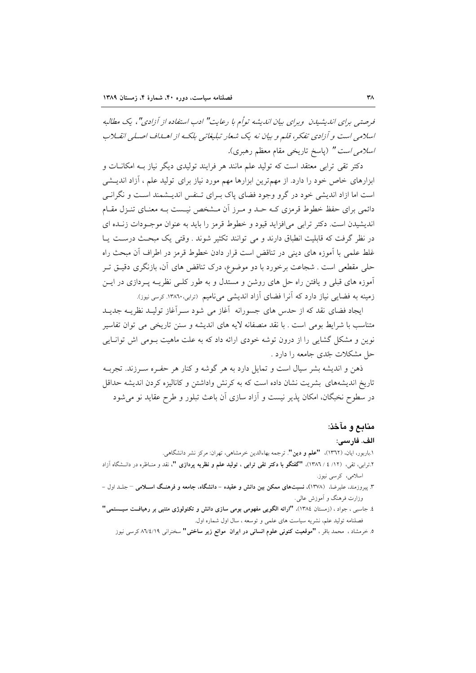فرصتبی برای اندیشیدن پورای بیان اندیشه تواُم با رعایت" ادب استفاده از آزادی"، یک مطالبه اسلامی است و آزادی تفکر، قلم و بیان نه یک شعار تبلیغاتی بلکه از اهـلماف اصـلی انقـلاب *اسلامی است " (پاسخ تاریخی مقام معظم رهبری).* 

دکتر تقی ترابی معتقد است که تولید علم مانند هر فرایند تولیدی دیگر نیاز بـه امکانـات و ابزارهای خاص خود را دارد. از مهمترین ابزارها مهم مورد نیاز برای تولید علم ، آزاد اندیــشی است اما ازاد اندیشی خود در گرو وجود فضای پاک بـرای تـنفس اندیـشمند اسـت و نگرانــم دائمی برای حفظ خطوط قرمزی کـه حـد و مـرز آن مـشخص نيـست بـه معنـای تنـزل مقـام انديشيدن است. دکتر تراپي مي افزايد قيود و خطوط قرمز را بايد به عنوان موجبودات زنيده اي در نظر گرفت که قابلیت انطباق دارند و می توانند تکثیر شوند . وقتی یک مبحث درست یـا غلط علمی با اَموزه های دینی در تناقض است قرار دادن خطوط قرمز در اطراف اَن مبحث راه حلی مقطعی است . شجاعت برخورد با دو موضوع، درک تناقض های آن، بازنگری دقیـق تـر آموزه های قبلی و یافتن راه حل های روشن و مستدل و به طور کلـی نظریــه پــردازی در ایــن زمینه به فضایی نیاز دارد که آنرا فضای آزاد اندیشی می نامیم (ترابی،۱۳۸٦۰ کرسی نیوز).

ایجاد فضای نقد که از حدس های جسورانه آغاز می شود سـرآغاز تولیـد نظریــه جدیـد متناسب با شرایط بومی است . با نقد منصفانه لایه های اندیشه و سنن تاریخی می توان تفاسیر نوین و مشکل گشایی را از درون توشه خودی ارائه داد که به علت ماهیت بـومی اش توانـایی حل مشکلات جّدی جامعه را دارد .

ذهن و اندیشه بشر سیال است و تمایل دارد به هر گوشه و کنار هر حفـره سـرزند. تجربــه تاریخ اندیشههای بشریت نشان داده است که به کرنش واداشتن و کانالیزه کردن اندیشه حداقل در سطوح نخبگان، امکان پذیر نیست و آزاد سازی آن باعث تبلور و طرح عقاید نو می شود

#### منابع و مآخذ:

#### الف. فارسي:

۱.باربور، ایان، (۱۳٦۲)، **"علم و دین"**. ترجمه بهاءالدین خرمشاهی، تهران: مرکز نشر دانشگاهی.

- ۲.تراب<sub>ی</sub>، تقی، (۱۲/ ٤ / ۱۳۸٦)، **"گفتگو با دکتر تقی ترابی ، تولید علم و نظریه پردازی "،** نقد و منـاظره در دانــشگاه آزاد اسلامی، کرسی نیوز.
- ۳. سروزمند، علیرضا، (۱۳۷۸)، نسبتهای ممکن میز دانش و عقیده دانشگاه، حامعه و فرهنگ اسپلامی جلید اول وزارت فرهنگ و اَموزش عالی .
- ٤. جاسبی ، جواد ، (زمستان ١٣٨٤)، "ارائه الگویی مفهومی بومی سازی دانش و تکنولوژی متنبی بر رهیافـت سیــــــتمی" فصلنامه تولید علم، نشریه سیاست های علمی و توسعه ، سال اول شماره اول.

٥. خرمشاد ، محمد باقر ، "موقعیت کنونی علوم انسانی در ایران موانع زیر ساختی" سخنرانی ٨٦/٤/١٩ کرسی نیوز